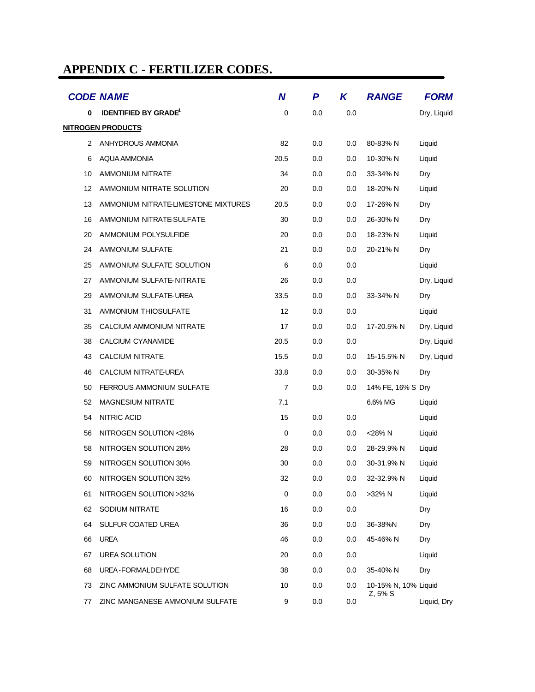# **APPENDIX C - FERTILIZER CODES.**

|    | <b>CODE NAME</b>                       | $\boldsymbol{N}$ | P   | K   | <b>RANGE</b>         | <b>FORM</b> |
|----|----------------------------------------|------------------|-----|-----|----------------------|-------------|
| 0  | <b>IDENTIFIED BY GRADE<sup>1</sup></b> | 0                | 0.0 | 0.0 |                      | Dry, Liquid |
|    | <u>NITROGEN PRODUCTS:</u>              |                  |     |     |                      |             |
| 2  | ANHYDROUS AMMONIA                      | 82               | 0.0 | 0.0 | 80-83% N             | Liquid      |
| 6  | AQUA AMMONIA                           | 20.5             | 0.0 | 0.0 | 10-30% N             | Liquid      |
| 10 | <b>AMMONIUM NITRATE</b>                | 34               | 0.0 | 0.0 | 33-34% N             | Dry         |
| 12 | AMMONIUM NITRATE SOLUTION              | 20               | 0.0 | 0.0 | 18-20% N             | Liquid      |
| 13 | AMMONIUM NITRATE LIMESTONE MIXTURES    | 20.5             | 0.0 | 0.0 | 17-26% N             | Dry         |
| 16 | AMMONIUM NITRATE-SULFATE               | 30               | 0.0 | 0.0 | 26-30% N             | Dry         |
| 20 | AMMONIUM POLYSULFIDE                   | 20               | 0.0 | 0.0 | 18-23% N             | Liquid      |
| 24 | AMMONIUM SULFATE                       | 21               | 0.0 | 0.0 | 20-21% N             | Dry         |
| 25 | AMMONIUM SULFATE SOLUTION              | 6                | 0.0 | 0.0 |                      | Liquid      |
| 27 | AMMONIUM SULFATE-NITRATE               | 26               | 0.0 | 0.0 |                      | Dry, Liquid |
| 29 | AMMONIUM SULFATE-UREA                  | 33.5             | 0.0 | 0.0 | 33-34% N             | Dry         |
| 31 | AMMONIUM THIOSULFATE                   | 12               | 0.0 | 0.0 |                      | Liquid      |
| 35 | CALCIUM AMMONIUM NITRATE               | 17               | 0.0 | 0.0 | 17-20.5% N           | Dry, Liquid |
| 38 | CALCIUM CYANAMIDE                      | 20.5             | 0.0 | 0.0 |                      | Dry, Liquid |
| 43 | <b>CALCIUM NITRATE</b>                 | 15.5             | 0.0 | 0.0 | 15-15.5% N           | Dry, Liquid |
| 46 | CALCIUM NITRATE-UREA                   | 33.8             | 0.0 | 0.0 | 30-35% N             | Dry         |
| 50 | <b>FERROUS AMMONIUM SULFATE</b>        | $\overline{7}$   | 0.0 | 0.0 | 14% FE, 16% S Dry    |             |
| 52 | <b>MAGNESIUM NITRATE</b>               | 7.1              |     |     | 6.6% MG              | Liquid      |
| 54 | <b>NITRIC ACID</b>                     | 15               | 0.0 | 0.0 |                      | Liquid      |
| 56 | NITROGEN SOLUTION <28%                 | 0                | 0.0 | 0.0 | <28% N               | Liquid      |
| 58 | NITROGEN SOLUTION 28%                  | 28               | 0.0 | 0.0 | 28-29.9% N           | Liquid      |
| 59 | NITROGEN SOLUTION 30%                  | 30               | 0.0 | 0.0 | 30-31.9% N           | Liquid      |
| 60 | NITROGEN SOLUTION 32%                  | 32               | 0.0 | 0.0 | 32-32.9% N           | Liquid      |
| 61 | NITROGEN SOLUTION >32%                 | $\mathbf 0$      | 0.0 | 0.0 | >32% N               | Liquid      |
| 62 | SODIUM NITRATE                         | 16               | 0.0 | 0.0 |                      | Dry         |
| 64 | SULFUR COATED UREA                     | 36               | 0.0 | 0.0 | 36-38%N              | Dry         |
| 66 | <b>UREA</b>                            | 46               | 0.0 | 0.0 | 45-46% N             | Dry         |
| 67 | <b>UREA SOLUTION</b>                   | 20               | 0.0 | 0.0 |                      | Liquid      |
| 68 | UREA-FORMALDEHYDE                      | 38               | 0.0 | 0.0 | 35-40% N             | Dry         |
| 73 | ZINC AMMONIUM SULFATE SOLUTION         | 10               | 0.0 | 0.0 | 10-15% N, 10% Liquid |             |
| 77 | ZINC MANGANESE AMMONIUM SULFATE        | 9                | 0.0 | 0.0 | Z, 5% S              | Liquid, Dry |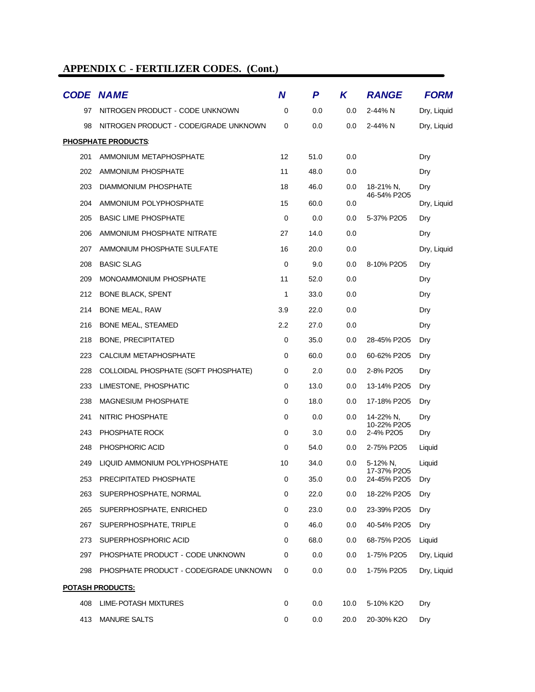|                         | <b>CODE NAME</b>                       | N                 | P    | K    | <b>RANGE</b>               | <b>FORM</b> |
|-------------------------|----------------------------------------|-------------------|------|------|----------------------------|-------------|
| 97                      | NITROGEN PRODUCT - CODE UNKNOWN        | 0                 | 0.0  | 0.0  | 2-44% N                    | Dry, Liquid |
| 98                      | NITROGEN PRODUCT - CODE/GRADE UNKNOWN  | 0                 | 0.0  | 0.0  | 2-44% N                    | Dry, Liquid |
|                         | <b>PHOSPHATE PRODUCTS:</b>             |                   |      |      |                            |             |
| 201                     | AMMONIUM METAPHOSPHATE                 | $12 \overline{ }$ | 51.0 | 0.0  |                            | Dry         |
| 202                     | AMMONIUM PHOSPHATE                     | 11                | 48.0 | 0.0  |                            | Dry         |
| 203                     | DIAMMONIUM PHOSPHATE                   | 18                | 46.0 | 0.0  | 18-21% N,                  | Dry         |
| 204                     | AMMONIUM POLYPHOSPHATE                 | 15                | 60.0 | 0.0  | 46-54% P2O5                | Dry, Liquid |
| 205                     | <b>BASIC LIME PHOSPHATE</b>            | 0                 | 0.0  | 0.0  | 5-37% P2O5                 | Dry         |
| 206                     | AMMONIUM PHOSPHATE NITRATE             | 27                | 14.0 | 0.0  |                            | Dry         |
| 207                     | AMMONIUM PHOSPHATE SULFATE             | 16                | 20.0 | 0.0  |                            | Dry, Liquid |
| 208                     | <b>BASIC SLAG</b>                      | 0                 | 9.0  | 0.0  | 8-10% P2O5                 | Dry         |
| 209                     | MONOAMMONIUM PHOSPHATE                 | 11                | 52.0 | 0.0  |                            | Dry         |
| 212                     | <b>BONE BLACK, SPENT</b>               | 1                 | 33.0 | 0.0  |                            | Dry         |
| 214                     | <b>BONE MEAL, RAW</b>                  | 3.9               | 22.0 | 0.0  |                            | Dry         |
| 216                     | BONE MEAL, STEAMED                     | 2.2               | 27.0 | 0.0  |                            | Dry         |
| 218                     | <b>BONE, PRECIPITATED</b>              | 0                 | 35.0 | 0.0  | 28-45% P2O5                | Dry         |
| 223                     | CALCIUM METAPHOSPHATE                  | 0                 | 60.0 | 0.0  | 60-62% P2O5                | Dry         |
| 228                     | COLLOIDAL PHOSPHATE (SOFT PHOSPHATE)   | 0                 | 2.0  | 0.0  | 2-8% P2O5                  | Dry         |
| 233                     | LIMESTONE, PHOSPHATIC                  | 0                 | 13.0 | 0.0  | 13-14% P2O5                | Dry         |
| 238                     | <b>MAGNESIUM PHOSPHATE</b>             | 0                 | 18.0 | 0.0  | 17-18% P2O5                | Dry         |
| 241                     | NITRIC PHOSPHATE                       | 0                 | 0.0  | 0.0  | 14-22% N.<br>10-22% P2O5   | Dry         |
| 243                     | PHOSPHATE ROCK                         | 0                 | 3.0  | 0.0  | 2-4% P2O5                  | Dry         |
| 248                     | PHOSPHORIC ACID                        | 0                 | 54.0 | 0.0  | 2-75% P2O5                 | Liquid      |
| 249                     | LIQUID AMMONIUM POLYPHOSPHATE          | 10                | 34.0 | 0.0  | 5-12% N,                   | Liquid      |
| 253                     | PRECIPITATED PHOSPHATE                 | 0                 | 35.0 | 0.0  | 17-37% P2O5<br>24-45% P2O5 | Dry         |
| 263                     | SUPERPHOSPHATE, NORMAL                 | 0                 | 22.0 | 0.0  | 18-22% P2O5                | Dry         |
| 265                     | SUPERPHOSPHATE, ENRICHED               | 0                 | 23.0 | 0.0  | 23-39% P2O5                | Dry         |
| 267                     | SUPERPHOSPHATE, TRIPLE                 | 0                 | 46.0 | 0.0  | 40-54% P2O5                | Dry         |
| 273                     | SUPERPHOSPHORIC ACID                   | 0                 | 68.0 | 0.0  | 68-75% P2O5                | Liquid      |
| 297                     | PHOSPHATE PRODUCT - CODE UNKNOWN       | 0                 | 0.0  | 0.0  | 1-75% P2O5                 | Dry, Liquid |
| 298                     | PHOSPHATE PRODUCT - CODE/GRADE UNKNOWN | 0                 | 0.0  | 0.0  | 1-75% P2O5                 | Dry, Liquid |
| <b>POTASH PRODUCTS:</b> |                                        |                   |      |      |                            |             |
| 408                     | LIME-POTASH MIXTURES                   | 0                 | 0.0  | 10.0 | 5-10% K2O                  | Dry         |
| 413                     | <b>MANURE SALTS</b>                    | 0                 | 0.0  | 20.0 | 20-30% K2O                 | Dry         |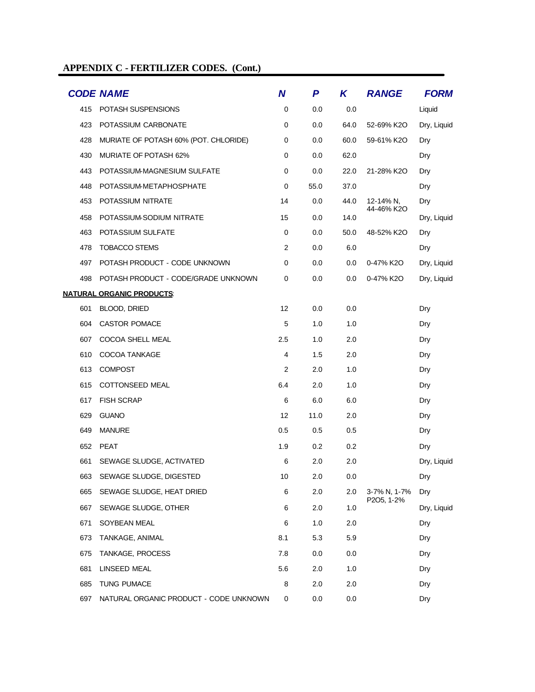|     | <b>CODE NAME</b>                       | $\boldsymbol{N}$ | P       | K    | <b>RANGE</b> | <b>FORM</b> |
|-----|----------------------------------------|------------------|---------|------|--------------|-------------|
| 415 | POTASH SUSPENSIONS                     | 0                | 0.0     | 0.0  |              | Liquid      |
| 423 | POTASSIUM CARBONATE                    | $\mathbf 0$      | 0.0     | 64.0 | 52-69% K2O   | Dry, Liquid |
| 428 | MURIATE OF POTASH 60% (POT. CHLORIDE)  | 0                | 0.0     | 60.0 | 59-61% K2O   | Dry         |
| 430 | <b>MURIATE OF POTASH 62%</b>           | 0                | 0.0     | 62.0 |              | Dry         |
| 443 | POTASSIUM-MAGNESIUM SULFATE            | 0                | 0.0     | 22.0 | 21-28% K2O   | Dry         |
| 448 | POTASSIUM-METAPHOSPHATE                | 0                | 55.0    | 37.0 |              | Dry         |
| 453 | POTASSIUM NITRATE                      | 14               | 0.0     | 44.0 | 12-14% N,    | Dry         |
| 458 | POTASSIUM-SODIUM NITRATE               | 15               | 0.0     | 14.0 | 44-46% K2O   | Dry, Liquid |
| 463 | POTASSIUM SULFATE                      | 0                | 0.0     | 50.0 | 48-52% K2O   | Dry         |
| 478 | <b>TOBACCO STEMS</b>                   | $\overline{2}$   | 0.0     | 6.0  |              | Dry         |
| 497 | POTASH PRODUCT - CODE UNKNOWN          | 0                | 0.0     | 0.0  | 0-47% K2O    | Dry, Liquid |
| 498 | POTASH PRODUCT - CODE/GRADE UNKNOWN    | 0                | 0.0     | 0.0  | 0-47% K2O    | Dry, Liquid |
|     | <u>NATURAL ORGANIC PRODUCTS:</u>       |                  |         |      |              |             |
| 601 | BLOOD, DRIED                           | 12               | 0.0     | 0.0  |              | Dry         |
| 604 | <b>CASTOR POMACE</b>                   | 5                | 1.0     | 1.0  |              | Dry         |
| 607 | COCOA SHELL MEAL                       | 2.5              | 1.0     | 2.0  |              | Dry         |
| 610 | <b>COCOA TANKAGE</b>                   | 4                | 1.5     | 2.0  |              | Dry         |
| 613 | <b>COMPOST</b>                         | 2                | 2.0     | 1.0  |              | Dry         |
| 615 | COTTONSEED MEAL                        | 6.4              | 2.0     | 1.0  |              | Dry         |
| 617 | <b>FISH SCRAP</b>                      | 6                | 6.0     | 6.0  |              | Dry         |
| 629 | <b>GUANO</b>                           | 12               | 11.0    | 2.0  |              | Dry         |
| 649 | <b>MANURE</b>                          | 0.5              | 0.5     | 0.5  |              | Dry         |
| 652 | <b>PEAT</b>                            | 1.9              | 0.2     | 0.2  |              | Dry         |
| 661 | SEWAGE SLUDGE, ACTIVATED               | 6                | 2.0     | 2.0  |              | Dry, Liquid |
| 663 | SEWAGE SLUDGE, DIGESTED                | 10               | 2.0     | 0.0  |              | Dry         |
| 665 | SEWAGE SLUDGE, HEAT DRIED              | 6                | 2.0     | 2.0  | 3-7% N, 1-7% | Dry         |
| 667 | SEWAGE SLUDGE, OTHER                   | 6                | 2.0     | 1.0  | P2O5, 1-2%   | Dry, Liquid |
| 671 | SOYBEAN MEAL                           | 6                | 1.0     | 2.0  |              | Dry         |
| 673 | TANKAGE, ANIMAL                        | 8.1              | 5.3     | 5.9  |              | Dry         |
| 675 | TANKAGE, PROCESS                       | 7.8              | 0.0     | 0.0  |              | Dry         |
| 681 | LINSEED MEAL                           | 5.6              | 2.0     | 1.0  |              | Dry         |
| 685 | <b>TUNG PUMACE</b>                     | 8                | 2.0     | 2.0  |              | Dry         |
| 697 | NATURAL ORGANIC PRODUCT - CODE UNKNOWN | 0                | $0.0\,$ | 0.0  |              | Dry         |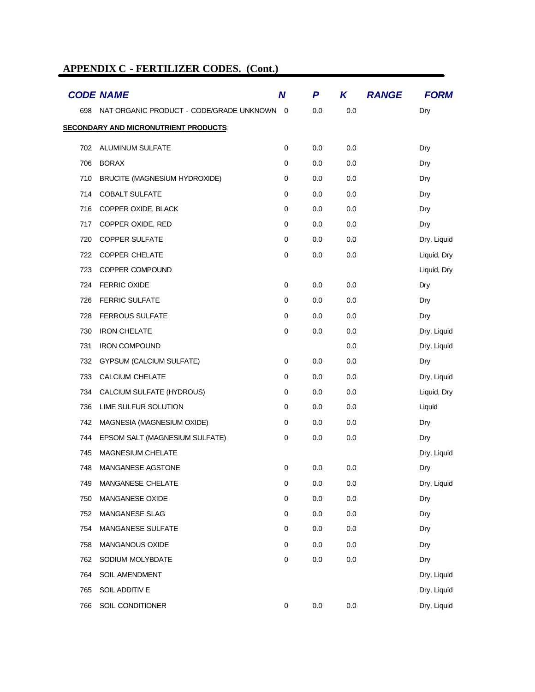|     | <b>CODE NAME</b>                             | $\boldsymbol{N}$ | P       | K       | <b>RANGE</b> | <b>FORM</b> |
|-----|----------------------------------------------|------------------|---------|---------|--------------|-------------|
| 698 | NAT ORGANIC PRODUCT - CODE/GRADE UNKNOWN 0   |                  | 0.0     | 0.0     |              | Dry         |
|     | <b>SECONDARY AND MICRONUTRIENT PRODUCTS:</b> |                  |         |         |              |             |
| 702 | ALUMINUM SULFATE                             | $\mathbf 0$      | 0.0     | 0.0     |              | Dry         |
| 706 | <b>BORAX</b>                                 | 0                | 0.0     | 0.0     |              | Dry         |
| 710 | BRUCITE (MAGNESIUM HYDROXIDE)                | 0                | 0.0     | 0.0     |              | Dry         |
| 714 | <b>COBALT SULFATE</b>                        | 0                | 0.0     | 0.0     |              | Dry         |
| 716 | COPPER OXIDE, BLACK                          | $\mathbf 0$      | 0.0     | 0.0     |              | Dry         |
| 717 | COPPER OXIDE, RED                            | $\pmb{0}$        | 0.0     | 0.0     |              | Dry         |
| 720 | <b>COPPER SULFATE</b>                        | 0                | 0.0     | 0.0     |              | Dry, Liquid |
| 722 | COPPER CHELATE                               | $\mathbf 0$      | 0.0     | 0.0     |              | Liquid, Dry |
| 723 | COPPER COMPOUND                              |                  |         |         |              | Liquid, Dry |
| 724 | <b>FERRIC OXIDE</b>                          | 0                | 0.0     | 0.0     |              | Dry         |
| 726 | <b>FERRIC SULFATE</b>                        | $\mathbf 0$      | 0.0     | 0.0     |              | Dry         |
| 728 | <b>FERROUS SULFATE</b>                       | $\pmb{0}$        | 0.0     | 0.0     |              | Dry         |
| 730 | <b>IRON CHELATE</b>                          | 0                | 0.0     | 0.0     |              | Dry, Liquid |
| 731 | <b>IRON COMPOUND</b>                         |                  |         | 0.0     |              | Dry, Liquid |
| 732 | <b>GYPSUM (CALCIUM SULFATE)</b>              | $\mathbf 0$      | 0.0     | 0.0     |              | Dry         |
| 733 | <b>CALCIUM CHELATE</b>                       | $\mathbf 0$      | 0.0     | 0.0     |              | Dry, Liquid |
| 734 | CALCIUM SULFATE (HYDROUS)                    | $\pmb{0}$        | 0.0     | 0.0     |              | Liquid, Dry |
| 736 | LIME SULFUR SOLUTION                         | 0                | 0.0     | 0.0     |              | Liquid      |
| 742 | MAGNESIA (MAGNESIUM OXIDE)                   | 0                | 0.0     | 0.0     |              | Dry         |
| 744 | EPSOM SALT (MAGNESIUM SULFATE)               | 0                | 0.0     | 0.0     |              | Dry         |
| 745 | <b>MAGNESIUM CHELATE</b>                     |                  |         |         |              | Dry, Liquid |
| 748 | <b>MANGANESE AGSTONE</b>                     | 0                | 0.0     | 0.0     |              | Dry         |
| 749 | MANGANESE CHELATE                            | $\pmb{0}$        | 0.0     | 0.0     |              | Dry, Liquid |
| 750 | MANGANESE OXIDE                              | $\mathbf 0$      | 0.0     | 0.0     |              | Dry         |
| 752 | MANGANESE SLAG                               | $\mathbf 0$      | 0.0     | 0.0     |              | Dry         |
| 754 | MANGANESE SULFATE                            | $\mathbf 0$      | 0.0     | 0.0     |              | Dry         |
| 758 | MANGANOUS OXIDE                              | $\mathbf 0$      | 0.0     | 0.0     |              | Dry         |
| 762 | SODIUM MOLYBDATE                             | $\mathbf 0$      | 0.0     | 0.0     |              | Dry         |
| 764 | SOIL AMENDMENT                               |                  |         |         |              | Dry, Liquid |
| 765 | SOIL ADDITIV E                               |                  |         |         |              | Dry, Liquid |
| 766 | SOIL CONDITIONER                             | $\pmb{0}$        | $0.0\,$ | $0.0\,$ |              | Dry, Liquid |